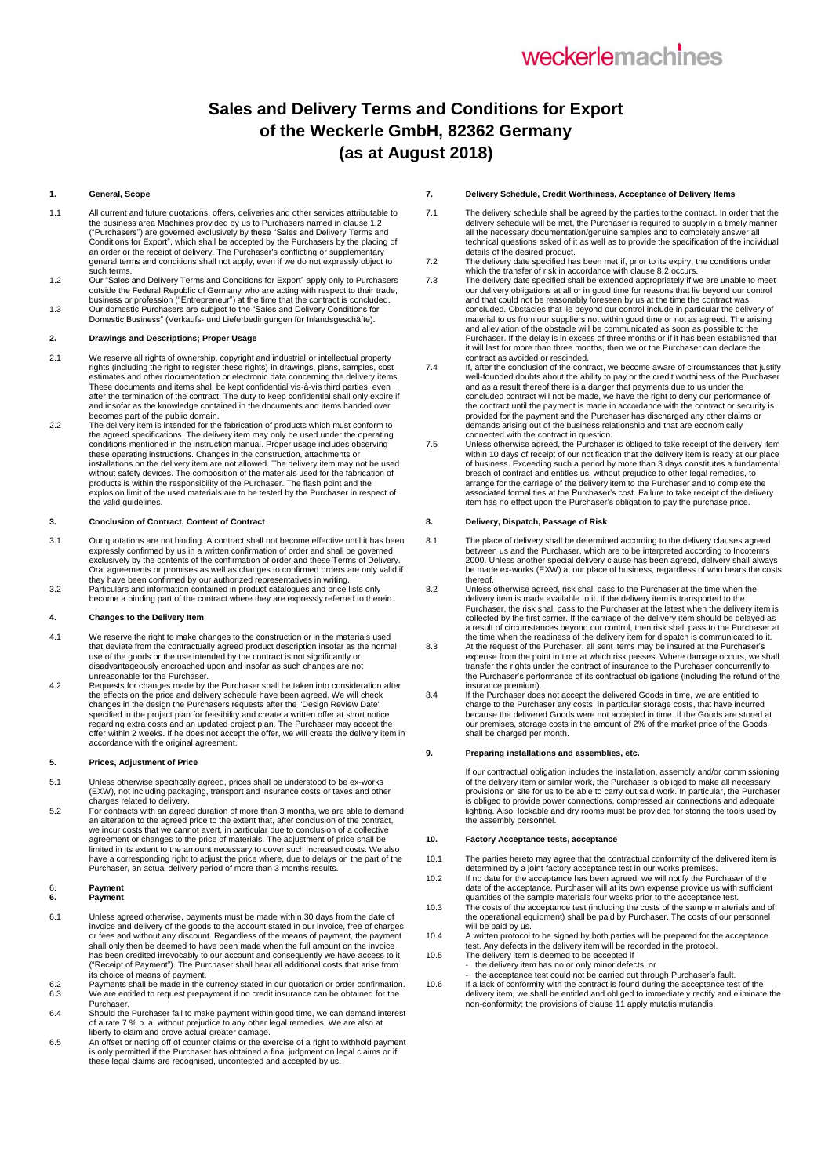# weckerlemachines

# **Sales and Delivery Terms and Conditions for Export of the Weckerle GmbH, 82362 Germany (as at August 2018)**

#### **1. General, Scope**

- 1.1 All current and future quotations, offers, deliveries and other services attributable to the business area Machines provided by us to Purchasers named in clause 1.2 ("Purchasers") are governed exclusively by these "Sales and Delivery Terms and<br>Conditions for Export", which shall be accepted by the Purchasers by the placing of<br>an order or the receipt of delivery. The Purchaser's confli general terms and conditions shall not apply, even if we do not expressly object to such terms.
- 1.2 Our "Sales and Delivery Terms and Conditions for Export" apply only to Purchasers outside the Federal Republic of Germany who are acting with respect to their trade, business or profession ("Entrepreneur") at the time that the contract is concluded.
- 1.3 Our domestic Purchasers are subject to the "Sales and Delivery Conditions for Domestic Business" (Verkaufs- und Lieferbedingungen für Inlandsgeschäfte).

#### **2. Drawings and Descriptions; Proper Usage**

- We reserve all rights of ownership, copyright and industrial or intellectual property<br>rights (including the right to register these rights) in drawings, plans, samples, cost<br>estimates and other documentation or electronic These documents and items shall be kept confidential vis-à-vis third parties, even after the termination of the contract. The duty to keep confidential shall only expire if and insofar as the knowledge contained in the documents and items handed over becomes part of the public domain.
- 2.2 The delivery item is intended for the fabrication of products which must conform to<br>the agreed specifications. The delivery item may only be used under the operating<br>conditions mentioned in the instruction manual. Prop these operating instructions. Changes in the construction, attachments or installations on the delivery item are not allowed. The delivery item may not be used<br>without safety devices. The composition of the materials used for the fabrication of<br>products is within the responsibility of the Purcha explosion limit of the used materials are to be tested by the Purchaser in respect of the valid guidelines.

#### **3. Conclusion of Contract, Content of Contract**

- 3.1 Our quotations are not binding. A contract shall not become effective until it has been expressly confirmed by us in a written confirmation of order and shall be governed exclusively by the contents of the confirmation of order and these Terms of Delivery. Oral agreements or promises as well as changes to confirmed orders are only valid if they have been confirmed by our authorized representatives in writing.
- 3.2 Particulars and information contained in product catalogues and price lists only become a binding part of the contract where they are expressly referred to therein.

#### **4. Changes to the Delivery Item**

- 4.1 We reserve the right to make changes to the construction or in the materials used<br>that deviate from the contractually agreed product description insofar as the normal<br>use of the goods or the use intended by the contrac disadvantageously encroached upon and insofar as such changes are not unreasonable for the Purchaser.
- 4.2 Requests for changes made by the Purchaser shall be taken into consideration after the effects on the price and delivery schedule have been agreed. We will check changes in the design the Purchasers requests after the "Design Review Date" specified in the project plan for feasibility and create a written offer at short notice regarding extra costs and an updated project plan. The Purchaser may accept the offer within 2 weeks. If he does not accept the offer, we will create the delivery item in accordance with the original agreement.

#### **5. Prices, Adjustment of Price**

- 5.1 Unless otherwise specifically agreed, prices shall be understood to be ex-works (EXW), not including packaging, transport and insurance costs or taxes and other
- charges related to delivery. 5.2 For contracts with an agreed duration of more than 3 months, we are able to demand an alteration to the agreed price to the extent that, after conclusion of the contract, we incur costs that we cannot avert, in particular due to conclusion of a collective agreement or changes to the price of materials. The adjustment of price shall be<br>limited in its extent to the amount necessary to cover such increased costs. We also<br>have a corresponding right to adjust the price where, du

# 6. **Payment 6. Payment**

- 6.1 Unless agreed otherwise, payments must be made within 30 days from the date of invoice and delivery of the goods to the account stated in our invoice, free of charges<br>or fees and without any discount. Regardless of the means of payment, the payment<br>shall only then be deemed to have been made when the has been credited irrevocably to our account and consequently we have access to it ("Receipt of Payment"). The Purchaser shall bear all additional costs that arise from its choice of means of payment. 6.2 Payments shall be made in the currency stated in our quotation or order confirmation.
- 6.3 We are entitled to request prepayment if no credit insurance can be obtained for the
- Purchaser. 6.4 Should the Purchaser fail to make payment within good time, we can demand interest of a rate 7 % p. a. without prejudice to any other legal remedies. We are also at
- liberty to claim and prove actual greater damage. 6.5 An offset or netting off of counter claims or the exercise of a right to withhold payment is only permitted if the Purchaser has obtained a final judgment on legal claims or if these legal claims are recognised, uncontested and accepted by us.

# **7. Delivery Schedule, Credit Worthiness, Acceptance of Delivery Items**

- 7.1 The delivery schedule shall be agreed by the parties to the contract. In order that the delivery schedule will be met, the Purchaser is required to supply in a timely manner all the necessary documentation/genuine samples and to completely answer all technical questions asked of it as well as to provide the specification of the individual details of the desired product.
- 7.2 The delivery date specified has been met if, prior to its expiry, the conditions under which the transfer of risk in accordance with clause 8.2 occurs.
- 7.3 The delivery date specified shall be extended appropriately if we are unable to meet our delivery obligations at all or in good time for reasons that lie beyond our control and that could not be reasonably foreseen by us at the time the contract was concluded. Obstacles that lie beyond our control include in particular the delivery of material to us from our suppliers not within good time or not as agreed. The arising and alleviation of the obstacle will be communicated as soon as possible to the Purchaser. If the delay is in excess of three months or if it has been established that it will last for more than three months, then we or the Purchaser can declare the contract as avoided or rescinded.
- 7.4 If, after the conclusion of the contract, we become aware of circumstances that justify well-founded doubts about the ability to pay or the credit worthiness of the Purchaser and as a result thereof there is a danger that payments due to us under the concluded contract will not be made, we have the right to deny our performance of the contract until the payment is made in accordance with the contract or security is provided for the payment and the Purchaser has discharged any other claims or demands arising out of the business relationship and that are economically connected with the contract in question.
- 7.5 Unless otherwise agreed, the Purchaser is obliged to take receipt of the delivery item within 10 days of receipt of our notification that the delivery item is ready at our place of business. Exceeding such a period by more than 3 days constitutes a fundamental<br>breach of contract and entitles us, without prejudice to other legal remedies, to<br>arrange for the carriage of the delivery item to the Purc associated formalities at the Purchaser's cost. Failure to take receipt of the delivery item has no effect upon the Purchaser's obligation to pay the purchase price.

#### **8. Delivery, Dispatch, Passage of Risk**

- 8.1 The place of delivery shall be determined according to the delivery clauses agreed between us and the Purchaser, which are to be interpreted according to Incoterms 2000. Unless another special delivery clause has been agreed, delivery shall always be made ex-works (EXW) at our place of business, regardless of who bears the costs thereof.
- 8.2 Unless otherwise agreed, risk shall pass to the Purchaser at the time when the delivery item is made available to it. If the delivery item is transported to the Purchaser, the risk shall pass to the Purchaser at the latest when the delivery item is collected by the first carrier. If the carriage of the delivery item should be delayed as a result of circumstances beyond our control, then risk shall pass to the Purchaser at
- the time when the readiness of the delivery item for dispatch is communicated to it. 8.3 At the request of the Purchaser, all sent items may be insured at the Purchaser's expense from the point in time at which risk passes. Where damage occurs, we shall transfer the rights under the contract of insurance to the Purchaser concurrently to the Purchaser's performance of its contractual obligations (including the refund of the insurance premium).
- 8.4 If the Purchaser does not accept the delivered Goods in time, we are entitled to charge to the Purchaser any costs, in particular storage costs, that have incurred because the delivered Goods were not accepted in time. If the Goods are stored at our premises, storage costs in the amount of 2% of the market price of the Goods shall be charged per month.

# **9. Preparing installations and assemblies, etc.**

If our contractual obligation includes the installation, assembly and/or commissioning of the delivery item or similar work, the Purchaser is obliged to make all necessary provisions on site for us to be able to carry out said work. In particular, the Purchaser is obliged to provide power connections, compressed air connections and adequate lighting. Also, lockable and dry rooms must be provided for storing the tools used by the assembly personnel.

#### **10. Factory Acceptance tests, acceptance**

- 10.1 The parties hereto may agree that the contractual conformity of the delivered item is determined by a joint factory acceptance test in our works premises.
- 10.2 If no date for the acceptance has been agreed, we will notify the Purchaser of the date of the acceptance. Purchaser will at its own expense provide us with sufficient quantities of the sample materials four weeks prior to the acceptance test.
- 10.3 The costs of the acceptance test (including the costs of the sample materials and of the operational equipment) shall be paid by Purchaser. The costs of our personnel will be paid by us.
- 10.4 A written protocol to be signed by both parties will be prepared for the acceptance test. Any defects in the delivery item will be recorded in the protocol.
- 10.5 The delivery item is deemed to be accepted if the delivery item has no or only minor defects, or

- the acceptance test could not be carried out through Purchaser's fault. 10.6 If a lack of conformity with the contract is found during the acceptance test of the delivery item, we shall be entitled and obliged to immediately rectify and eliminate the non-conformity; the provisions of clause 11 apply mutatis mutandis.